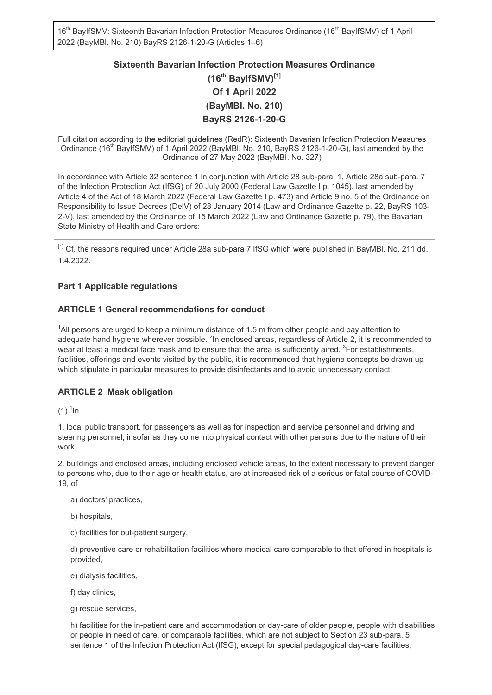16<sup>th</sup> BayIfSMV: Sixteenth Bavarian Infection Protection Measures Ordinance (16<sup>th</sup> BayIfSMV) of 1 April 2022 (BayMBl. No. 210) BayRS 2126-1-20-G (Articles 1–6)

# **Sixteenth Bavarian Infection Protection Measures Ordinance (16th BayIfSMV)[1] Of 1 April 2022 (BayMBl. No. 210) BayRS 2126-1-20-G**

Full citation according to the editorial guidelines (RedR): Sixteenth Bavarian Infection Protection Measures Ordinance (16<sup>th</sup> BayIfSMV) of 1 April 2022 (BayMBI. No. 210, BayRS 2126-1-20-G), last amended by the Ordinance of 27 May 2022 (BayMBI. No. 327)

In accordance with Article 32 sentence 1 in conjunction with Article 28 sub-para. 1, Article 28a sub-para. 7 of the Infection Protection Act (IfSG) of 20 July 2000 (Federal Law Gazette I p. 1045), last amended by Article 4 of the Act of 18 March 2022 (Federal Law Gazette I p. 473) and Article 9 no. 5 of the Ordinance on Responsibility to Issue Decrees (DelV) of 28 January 2014 (Law and Ordinance Gazette p. 22, BayRS 103- 2-V), last amended by the Ordinance of 15 March 2022 (Law and Ordinance Gazette p. 79), the Bavarian State Ministry of Health and Care orders:

[1] Cf. the reasons required under Article 28a sub-para 7 IfSG which were published in BayMBI. No. 211 dd. 1.4.2022.

# **Part 1 Applicable regulations**

## **ARTICLE 1 General recommendations for conduct**

<sup>1</sup>All persons are urged to keep a minimum distance of 1.5 m from other people and pay attention to adequate hand hygiene wherever possible.  $^2$ In enclosed areas, regardless of Article 2, it is recommended to wear at least a medical face mask and to ensure that the area is sufficiently aired.  $^3$ For establishments, facilities, offerings and events visited by the public, it is recommended that hygiene concepts be drawn up which stipulate in particular measures to provide disinfectants and to avoid unnecessary contact.

## **ARTICLE 2 Mask obligation**

(1)  $^1$ ln

1. local public transport, for passengers as well as for inspection and service personnel and driving and steering personnel, insofar as they come into physical contact with other persons due to the nature of their work,

2. buildings and enclosed areas, including enclosed vehicle areas, to the extent necessary to prevent danger to persons who, due to their age or health status, are at increased risk of a serious or fatal course of COVID-19, of

- a) doctors' practices,
- b) hospitals,
- c) facilities for out-patient surgery,

d) preventive care or rehabilitation facilities where medical care comparable to that offered in hospitals is provided,

e) dialysis facilities,

f) day clinics,

g) rescue services,

h) facilities for the in-patient care and accommodation or day-care of older people, people with disabilities or people in need of care, or comparable facilities, which are not subject to Section 23 sub-para. 5 sentence 1 of the Infection Protection Act (IfSG), except for special pedagogical day-care facilities,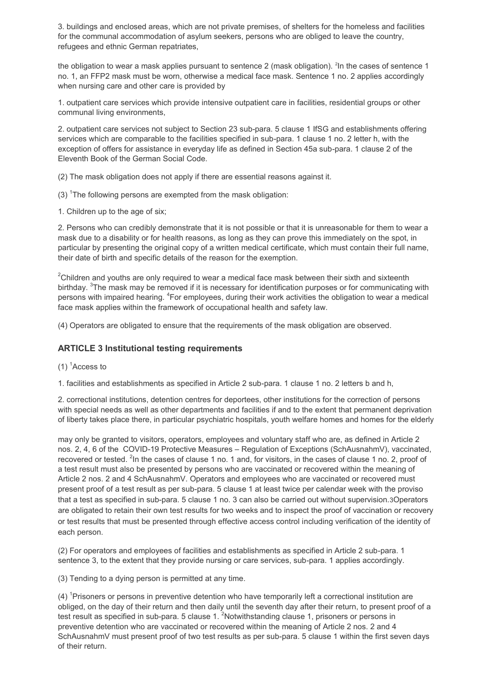3. buildings and enclosed areas, which are not private premises, of shelters for the homeless and facilities for the communal accommodation of asylum seekers, persons who are obliged to leave the country, refugees and ethnic German repatriates,

the obligation to wear a mask applies pursuant to sentence 2 (mask obligation). <sup>2</sup>In the cases of sentence 1  $\,$ no. 1, an FFP2 mask must be worn, otherwise a medical face mask. Sentence 1 no. 2 applies accordingly when nursing care and other care is provided by

1. outpatient care services which provide intensive outpatient care in facilities, residential groups or other communal living environments,

2. outpatient care services not subject to Section 23 sub-para. 5 clause 1 IfSG and establishments offering services which are comparable to the facilities specified in sub-para. 1 clause 1 no. 2 letter h, with the exception of offers for assistance in everyday life as defined in Section 45a sub-para. 1 clause 2 of the Eleventh Book of the German Social Code.

(2) The mask obligation does not apply if there are essential reasons against it.

(3)  $\textsuperscript{1}$  The following persons are exempted from the mask obligation:

1. Children up to the age of six;

2. Persons who can credibly demonstrate that it is not possible or that it is unreasonable for them to wear a mask due to a disability or for health reasons, as long as they can prove this immediately on the spot, in particular by presenting the original copy of a written medical certificate, which must contain their full name, their date of birth and specific details of the reason for the exemption.

 $2$ Children and youths are only required to wear a medical face mask between their sixth and sixteenth birthday.  $^3$ The mask may be removed if it is necessary for identification purposes or for communicating with persons with impaired hearing. <sup>4</sup>For employees, during their work activities the obligation to wear a medical face mask applies within the framework of occupational health and safety law.

(4) Operators are obligated to ensure that the requirements of the mask obligation are observed.

## **ARTICLE 3 Institutional testing requirements**

 $(1)$ <sup>1</sup> Access to

1. facilities and establishments as specified in Article 2 sub-para. 1 clause 1 no. 2 letters b and h,

2. correctional institutions, detention centres for deportees, other institutions for the correction of persons with special needs as well as other departments and facilities if and to the extent that permanent deprivation of liberty takes place there, in particular psychiatric hospitals, youth welfare homes and homes for the elderly

may only be granted to visitors, operators, employees and voluntary staff who are, as defined in Article 2 nos. 2, 4, 6 of the COVID-19 Protective Measures – Regulation of Exceptions (SchAusnahmV), vaccinated, recovered or tested. <sup>2</sup>In the cases of clause 1 no. 1 and, for visitors, in the cases of clause 1 no. 2, proof of a test result must also be presented by persons who are vaccinated or recovered within the meaning of Article 2 nos. 2 and 4 SchAusnahmV. Operators and employees who are vaccinated or recovered must present proof of a test result as per sub-para. 5 clause 1 at least twice per calendar week with the proviso that a test as specified in sub-para. 5 clause 1 no. 3 can also be carried out without supervision.3Operators are obligated to retain their own test results for two weeks and to inspect the proof of vaccination or recovery or test results that must be presented through effective access control including verification of the identity of each person.

(2) For operators and employees of facilities and establishments as specified in Article 2 sub-para. 1 sentence 3, to the extent that they provide nursing or care services, sub-para. 1 applies accordingly.

(3) Tending to a dying person is permitted at any time.

(4) <sup>1</sup>Prisoners or persons in preventive detention who have temporarily left a correctional institution are obliged, on the day of their return and then daily until the seventh day after their return, to present proof of a test result as specified in sub-para. 5 clause 1. <sup>2</sup>Notwithstanding clause 1, prisoners or persons in preventive detention who are vaccinated or recovered within the meaning of Article 2 nos. 2 and 4 SchAusnahmV must present proof of two test results as per sub-para. 5 clause 1 within the first seven days of their return.